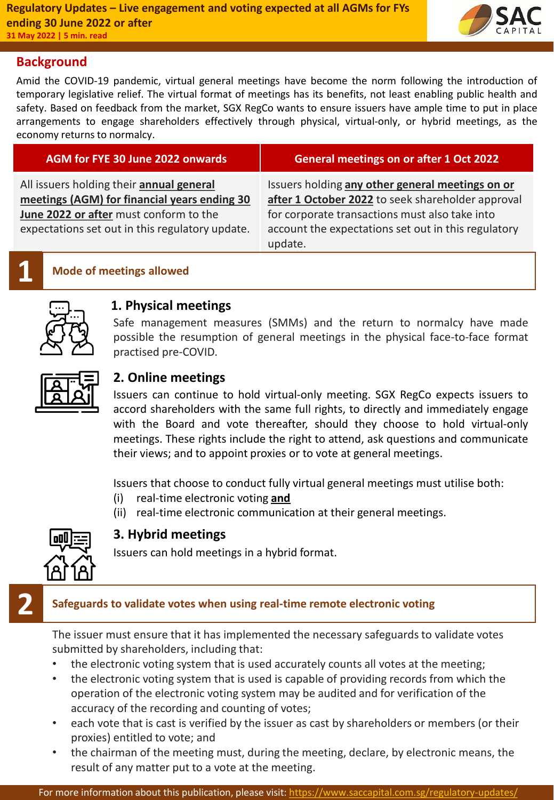

## **Background**

Amid the COVID-19 pandemic, virtual general meetings have become the norm following the introduction of temporary legislative relief. The virtual format of meetings has its benefits, not least enabling public health and safety. Based on feedback from the market, SGX RegCo wants to ensure issuers have ample time to put in place arrangements to engage shareholders effectively through physical, virtual-only, or hybrid meetings, as the economy returns to normalcy.

| AGM for FYE 30 June 2022 onwards                                                          | <b>General meetings on or after 1 Oct 2022</b>                                                                   |
|-------------------------------------------------------------------------------------------|------------------------------------------------------------------------------------------------------------------|
| All issuers holding their annual general<br>meetings (AGM) for financial years ending 30  | Issuers holding any other general meetings on or<br>after 1 October 2022 to seek shareholder approval            |
| June 2022 or after must conform to the<br>expectations set out in this regulatory update. | for corporate transactions must also take into<br>account the expectations set out in this regulatory<br>update. |

# **1 Mode of meetings allowed**



# **1. Physical meetings**

Safe management measures (SMMs) and the return to normalcy have made possible the resumption of general meetings in the physical face-to-face format practised pre-COVID.



# **2. Online meetings**

Issuers can continue to hold virtual-only meeting. SGX RegCo expects issuers to accord shareholders with the same full rights, to directly and immediately engage with the Board and vote thereafter, should they choose to hold virtual-only meetings. These rights include the right to attend, ask questions and communicate their views; and to appoint proxies or to vote at general meetings.

Issuers that choose to conduct fully virtual general meetings must utilise both:

- (i) real-time electronic voting **and**
- (ii) real-time electronic communication at their general meetings.



## **3. Hybrid meetings**

Issuers can hold meetings in a hybrid format.

## **2 Safeguards to validate votes when using real-time remote electronic voting**

The issuer must ensure that it has implemented the necessary safeguards to validate votes submitted by shareholders, including that:

- the electronic voting system that is used accurately counts all votes at the meeting;
- the electronic voting system that is used is capable of providing records from which the operation of the electronic voting system may be audited and for verification of the accuracy of the recording and counting of votes;
- each vote that is cast is verified by the issuer as cast by shareholders or members (or their proxies) entitled to vote; and
- the chairman of the meeting must, during the meeting, declare, by electronic means, the result of any matter put to a vote at the meeting.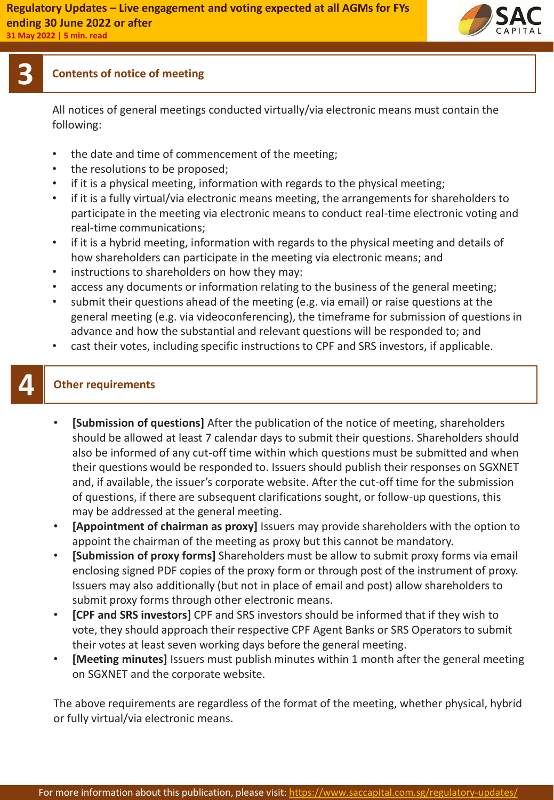

# **3 Contents of notice of meeting**

All notices of general meetings conducted virtually/via electronic means must contain the following:

- the date and time of commencement of the meeting;
- the resolutions to be proposed;
- if it is a physical meeting, information with regards to the physical meeting;
- if it is a fully virtual/via electronic means meeting, the arrangements for shareholders to participate in the meeting via electronic means to conduct real-time electronic voting and real-time communications;
- if it is a hybrid meeting, information with regards to the physical meeting and details of how shareholders can participate in the meeting via electronic means; and
- instructions to shareholders on how they may:
- access any documents or information relating to the business of the general meeting;
- submit their questions ahead of the meeting (e.g. via email) or raise questions at the general meeting (e.g. via videoconferencing), the timeframe for submission of questions in advance and how the substantial and relevant questions will be responded to; and
- cast their votes, including specific instructions to CPF and SRS investors, if applicable.

# **4 Other requirements**

- **[Submission of questions]** After the publication of the notice of meeting, shareholders should be allowed at least 7 calendar days to submit their questions. Shareholders should also be informed of any cut-off time within which questions must be submitted and when their questions would be responded to. Issuers should publish their responses on SGXNET and, if available, the issuer's corporate website. After the cut-off time for the submission of questions, if there are subsequent clarifications sought, or follow-up questions, this may be addressed at the general meeting.
- **[Appointment of chairman as proxy]** Issuers may provide shareholders with the option to appoint the chairman of the meeting as proxy but this cannot be mandatory.
- **[Submission of proxy forms]** Shareholders must be allow to submit proxy forms via email enclosing signed PDF copies of the proxy form or through post of the instrument of proxy. Issuers may also additionally (but not in place of email and post) allow shareholders to submit proxy forms through other electronic means.
- **[CPF and SRS investors]** CPF and SRS investors should be informed that if they wish to vote, they should approach their respective CPF Agent Banks or SRS Operators to submit their votes at least seven working days before the general meeting.
- **[Meeting minutes]** Issuers must publish minutes within 1 month after the general meeting on SGXNET and the corporate website.

The above requirements are regardless of the format of the meeting, whether physical, hybrid or fully virtual/via electronic means.